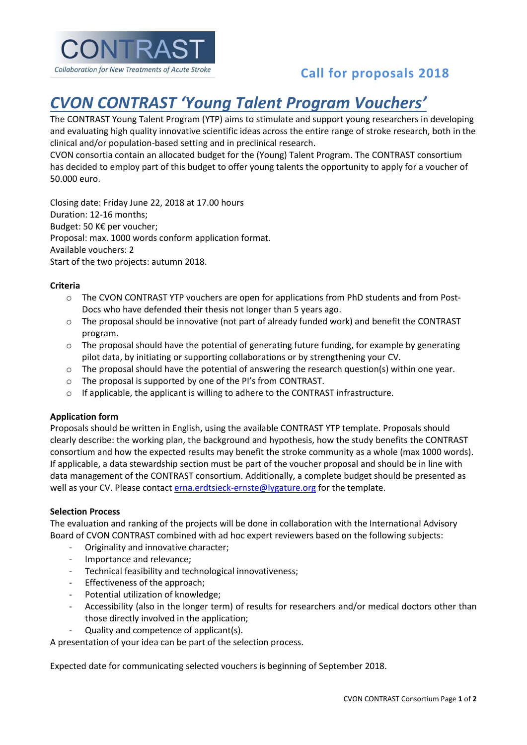

## **Call for proposals 2018**

# *CVON CONTRAST 'Young Talent Program Vouchers'*

The CONTRAST Young Talent Program (YTP) aims to stimulate and support young researchers in developing and evaluating high quality innovative scientific ideas across the entire range of stroke research, both in the clinical and/or population-based setting and in preclinical research.

CVON consortia contain an allocated budget for the (Young) Talent Program. The CONTRAST consortium has decided to employ part of this budget to offer young talents the opportunity to apply for a voucher of 50.000 euro.

Closing date: Friday June 22, 2018 at 17.00 hours Duration: 12-16 months; Budget: 50 K€ per voucher; Proposal: max. 1000 words conform application format. Available vouchers: 2 Start of the two projects: autumn 2018.

#### **Criteria**

- o The CVON CONTRAST YTP vouchers are open for applications from PhD students and from Post-Docs who have defended their thesis not longer than 5 years ago.
- $\circ$  The proposal should be innovative (not part of already funded work) and benefit the CONTRAST program.
- $\circ$  The proposal should have the potential of generating future funding, for example by generating pilot data, by initiating or supporting collaborations or by strengthening your CV.
- o The proposal should have the potential of answering the research question(s) within one year.
- o The proposal is supported by one of the PI's from CONTRAST.
- $\circ$  If applicable, the applicant is willing to adhere to the CONTRAST infrastructure.

#### **Application form**

Proposals should be written in English, using the available CONTRAST YTP template. Proposals should clearly describe: the working plan, the background and hypothesis, how the study benefits the CONTRAST consortium and how the expected results may benefit the stroke community as a whole (max 1000 words). If applicable, a data stewardship section must be part of the voucher proposal and should be in line with data management of the CONTRAST consortium. Additionally, a complete budget should be presented as well as your CV. Please contact [erna.erdtsieck-ernste@lygature.org](mailto:erna.erdtsieck-ernste@lygature.org) for the template.

#### **Selection Process**

The evaluation and ranking of the projects will be done in collaboration with the International Advisory Board of CVON CONTRAST combined with ad hoc expert reviewers based on the following subjects:

- Originality and innovative character;
- Importance and relevance;
- Technical feasibility and technological innovativeness;
- Effectiveness of the approach;
- Potential utilization of knowledge;
- Accessibility (also in the longer term) of results for researchers and/or medical doctors other than those directly involved in the application;
- Quality and competence of applicant(s).

A presentation of your idea can be part of the selection process.

Expected date for communicating selected vouchers is beginning of September 2018.